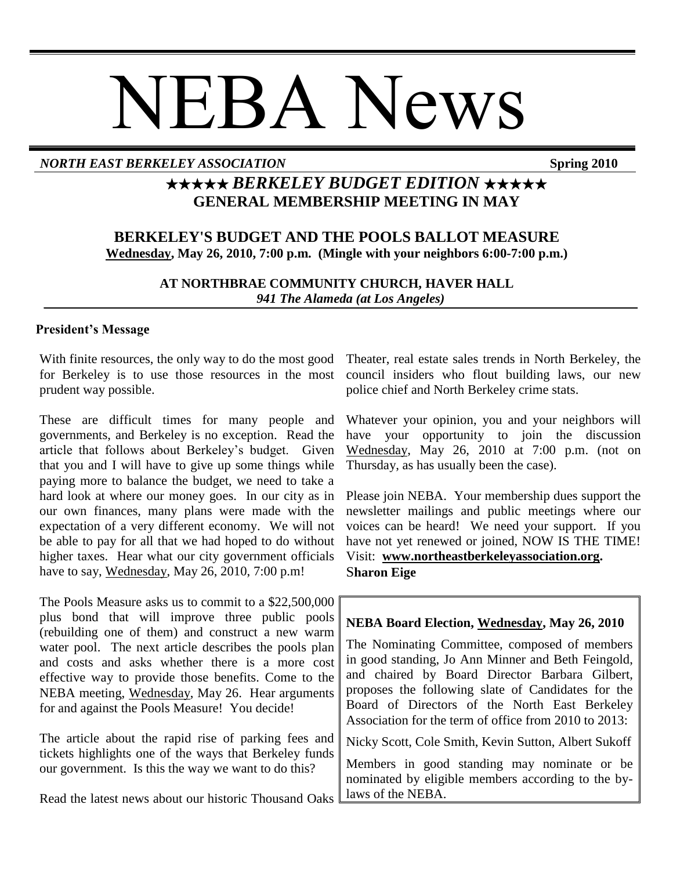# NEBA News

## *NORTH EAST BERKELEY ASSOCIATION* **Spring 2010**

# ★★★★★ *BERKELEY BUDGET EDITION* ★★★★★ **GENERAL MEMBERSHIP MEETING IN MAY**

# **BERKELEY'S BUDGET AND THE POOLS BALLOT MEASURE Wednesday, May 26, 2010, 7:00 p.m. (Mingle with your neighbors 6:00-7:00 p.m.)**

**AT NORTHBRAE COMMUNITY CHURCH, HAVER HALL**  *941 The Alameda (at Los Angeles)*

### **President's Message**

With finite resources, the only way to do the most good for Berkeley is to use those resources in the most prudent way possible.

These are difficult times for many people and governments, and Berkeley is no exception. Read the article that follows about Berkeley's budget. Given that you and I will have to give up some things while paying more to balance the budget, we need to take a hard look at where our money goes. In our city as in our own finances, many plans were made with the expectation of a very different economy. We will not be able to pay for all that we had hoped to do without higher taxes. Hear what our city government officials have to say, Wednesday, May 26, 2010, 7:00 p.m!

The Pools Measure asks us to commit to a \$22,500,000 plus bond that will improve three public pools (rebuilding one of them) and construct a new warm water pool. The next article describes the pools plan and costs and asks whether there is a more cost effective way to provide those benefits. Come to the NEBA meeting, Wednesday, May 26. Hear arguments for and against the Pools Measure! You decide!

The article about the rapid rise of parking fees and tickets highlights one of the ways that Berkeley funds our government. Is this the way we want to do this?

Read the latest news about our historic Thousand Oaks

Theater, real estate sales trends in North Berkeley, the council insiders who flout building laws, our new police chief and North Berkeley crime stats.

Whatever your opinion, you and your neighbors will have your opportunity to join the discussion Wednesday, May 26, 2010 at 7:00 p.m. (not on Thursday, as has usually been the case).

Please join NEBA. Your membership dues support the newsletter mailings and public meetings where our voices can be heard! We need your support. If you have not yet renewed or joined, NOW IS THE TIME! Visit: **[www.northeastberkeleyassociation.org.](../../../AppData/Local/Microsoft/Windows/Temporary%20Internet%20Files/AppData/Local/Microsoft/Windows/Temporary%20Internet%20Files/Content.Outlook/MB5D2GB8/www.northeastberkeleyassociation.org)** S**haron Eige**

# **NEBA Board Election, Wednesday, May 26, 2010**

The Nominating Committee, composed of members in good standing, Jo Ann Minner and Beth Feingold, and chaired by Board Director Barbara Gilbert, proposes the following slate of Candidates for the Board of Directors of the North East Berkeley Association for the term of office from 2010 to 2013:

Nicky Scott, Cole Smith, Kevin Sutton, Albert Sukoff

Members in good standing may nominate or be nominated by eligible members according to the bylaws of the NEBA.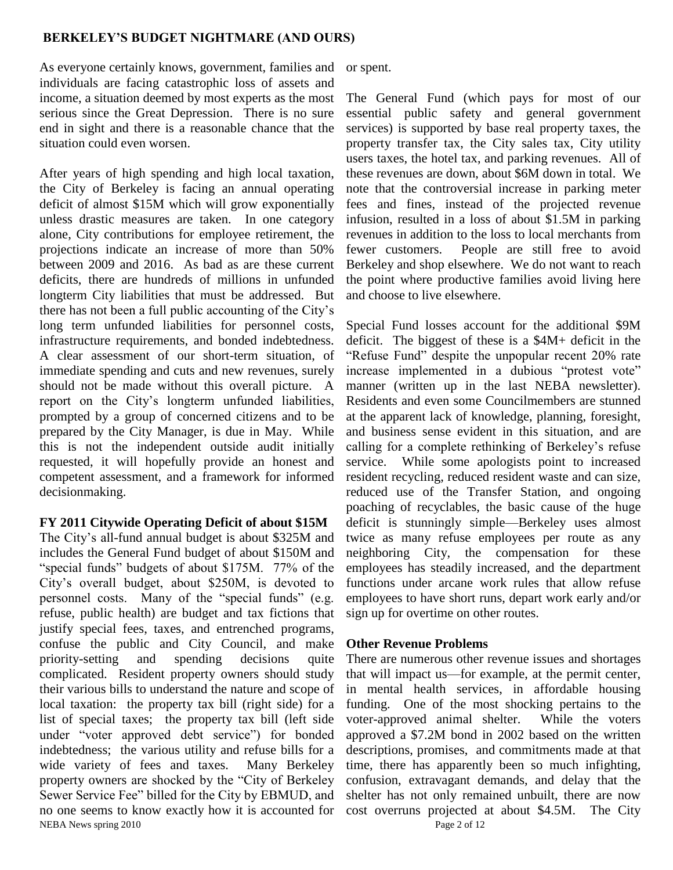### **BERKELEY'S BUDGET NIGHTMARE (AND OURS)**

As everyone certainly knows, government, families and or spent. individuals are facing catastrophic loss of assets and income, a situation deemed by most experts as the most serious since the Great Depression. There is no sure end in sight and there is a reasonable chance that the situation could even worsen.

After years of high spending and high local taxation, the City of Berkeley is facing an annual operating deficit of almost \$15M which will grow exponentially unless drastic measures are taken. In one category alone, City contributions for employee retirement, the projections indicate an increase of more than 50% between 2009 and 2016. As bad as are these current deficits, there are hundreds of millions in unfunded longterm City liabilities that must be addressed. But there has not been a full public accounting of the City's long term unfunded liabilities for personnel costs, infrastructure requirements, and bonded indebtedness. A clear assessment of our short-term situation, of immediate spending and cuts and new revenues, surely should not be made without this overall picture. A report on the City's longterm unfunded liabilities, prompted by a group of concerned citizens and to be prepared by the City Manager, is due in May. While this is not the independent outside audit initially requested, it will hopefully provide an honest and competent assessment, and a framework for informed decisionmaking.

### **FY 2011 Citywide Operating Deficit of about \$15M**

NEBA News spring 2010 Page 2 of 12 The City's all-fund annual budget is about \$325M and includes the General Fund budget of about \$150M and "special funds" budgets of about \$175M. 77% of the City's overall budget, about \$250M, is devoted to personnel costs. Many of the "special funds" (e.g. refuse, public health) are budget and tax fictions that justify special fees, taxes, and entrenched programs, confuse the public and City Council, and make priority-setting and spending decisions quite complicated. Resident property owners should study their various bills to understand the nature and scope of local taxation: the property tax bill (right side) for a list of special taxes; the property tax bill (left side under "voter approved debt service" for bonded indebtedness; the various utility and refuse bills for a wide variety of fees and taxes. Many Berkeley property owners are shocked by the "City of Berkeley" Sewer Service Fee" billed for the City by EBMUD, and no one seems to know exactly how it is accounted for

The General Fund (which pays for most of our essential public safety and general government services) is supported by base real property taxes, the property transfer tax, the City sales tax, City utility users taxes, the hotel tax, and parking revenues. All of these revenues are down, about \$6M down in total. We note that the controversial increase in parking meter fees and fines, instead of the projected revenue infusion, resulted in a loss of about \$1.5M in parking revenues in addition to the loss to local merchants from fewer customers. People are still free to avoid Berkeley and shop elsewhere. We do not want to reach the point where productive families avoid living here and choose to live elsewhere.

Special Fund losses account for the additional \$9M deficit. The biggest of these is a \$4M+ deficit in the "Refuse Fund" despite the unpopular recent 20% rate increase implemented in a dubious "protest vote" manner (written up in the last NEBA newsletter). Residents and even some Councilmembers are stunned at the apparent lack of knowledge, planning, foresight, and business sense evident in this situation, and are calling for a complete rethinking of Berkeley's refuse service. While some apologists point to increased resident recycling, reduced resident waste and can size, reduced use of the Transfer Station, and ongoing poaching of recyclables, the basic cause of the huge deficit is stunningly simple—Berkeley uses almost twice as many refuse employees per route as any neighboring City, the compensation for these employees has steadily increased, and the department functions under arcane work rules that allow refuse employees to have short runs, depart work early and/or sign up for overtime on other routes.

### **Other Revenue Problems**

There are numerous other revenue issues and shortages that will impact us—for example, at the permit center, in mental health services, in affordable housing funding. One of the most shocking pertains to the voter-approved animal shelter. While the voters approved a \$7.2M bond in 2002 based on the written descriptions, promises, and commitments made at that time, there has apparently been so much infighting, confusion, extravagant demands, and delay that the shelter has not only remained unbuilt, there are now cost overruns projected at about \$4.5M. The City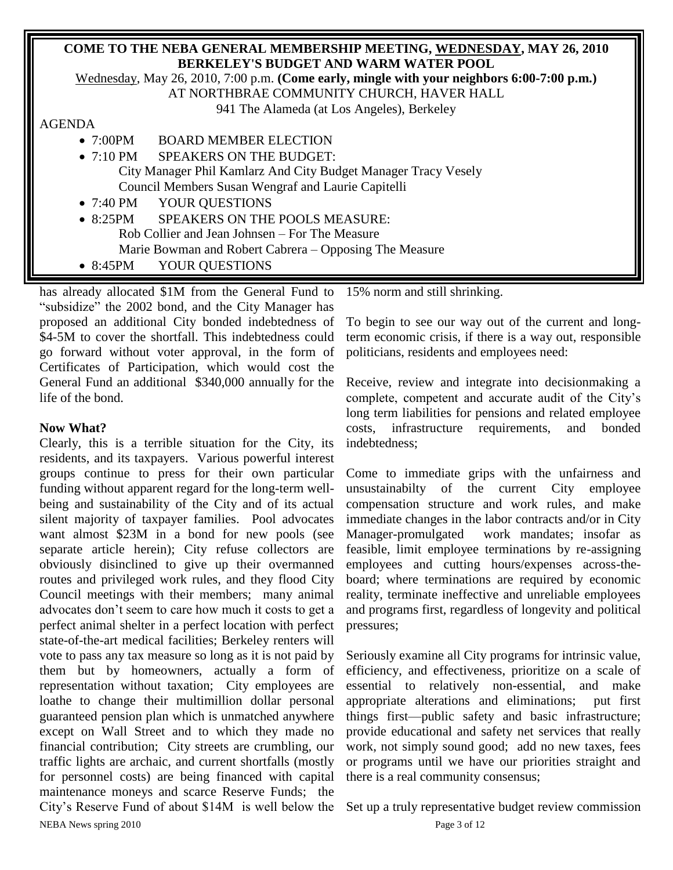## **COME TO THE NEBA GENERAL MEMBERSHIP MEETING, WEDNESDAY, MAY 26, 2010 BERKELEY'S BUDGET AND WARM WATER POOL**

Wednesday, May 26, 2010, 7:00 p.m. **(Come early, mingle with your neighbors 6:00-7:00 p.m.)**

AT NORTHBRAE COMMUNITY CHURCH, HAVER HALL

941 The Alameda (at Los Angeles), Berkeley

### AGENDA

- 7:00PM BOARD MEMBER ELECTION
- 7:10 PM SPEAKERS ON THE BUDGET:

City Manager Phil Kamlarz And City Budget Manager Tracy Vesely Council Members Susan Wengraf and Laurie Capitelli

- 7:40 PM YOUR OUESTIONS
- 8:25PM SPEAKERS ON THE POOLS MEASURE: Rob Collier and Jean Johnsen – For The Measure Marie Bowman and Robert Cabrera – Opposing The Measure
- 8:45PM YOUR QUESTIONS

has already allocated \$1M from the General Fund to "subsidize" the 2002 bond, and the City Manager has proposed an additional City bonded indebtedness of \$4-5M to cover the shortfall. This indebtedness could go forward without voter approval, in the form of Certificates of Participation, which would cost the General Fund an additional \$340,000 annually for the life of the bond.

# **Now What?**

NEBA News spring 2010 Page 3 of 12 Clearly, this is a terrible situation for the City, its residents, and its taxpayers. Various powerful interest groups continue to press for their own particular funding without apparent regard for the long-term wellbeing and sustainability of the City and of its actual silent majority of taxpayer families. Pool advocates want almost \$23M in a bond for new pools (see separate article herein); City refuse collectors are obviously disinclined to give up their overmanned routes and privileged work rules, and they flood City Council meetings with their members; many animal advocates don't seem to care how much it costs to get a perfect animal shelter in a perfect location with perfect state-of-the-art medical facilities; Berkeley renters will vote to pass any tax measure so long as it is not paid by them but by homeowners, actually a form of representation without taxation; City employees are loathe to change their multimillion dollar personal guaranteed pension plan which is unmatched anywhere except on Wall Street and to which they made no financial contribution; City streets are crumbling, our traffic lights are archaic, and current shortfalls (mostly for personnel costs) are being financed with capital maintenance moneys and scarce Reserve Funds; the City's Reserve Fund of about \$14M is well below the

15% norm and still shrinking.

To begin to see our way out of the current and longterm economic crisis, if there is a way out, responsible politicians, residents and employees need:

Receive, review and integrate into decisionmaking a complete, competent and accurate audit of the City's long term liabilities for pensions and related employee costs, infrastructure requirements, and bonded indebtedness;

Come to immediate grips with the unfairness and unsustainabilty of the current City employee compensation structure and work rules, and make immediate changes in the labor contracts and/or in City Manager-promulgated work mandates; insofar as feasible, limit employee terminations by re-assigning employees and cutting hours/expenses across-theboard; where terminations are required by economic reality, terminate ineffective and unreliable employees and programs first, regardless of longevity and political pressures;

Seriously examine all City programs for intrinsic value, efficiency, and effectiveness, prioritize on a scale of essential to relatively non-essential, and make appropriate alterations and eliminations; put first things first—public safety and basic infrastructure; provide educational and safety net services that really work, not simply sound good; add no new taxes, fees or programs until we have our priorities straight and there is a real community consensus;

Set up a truly representative budget review commission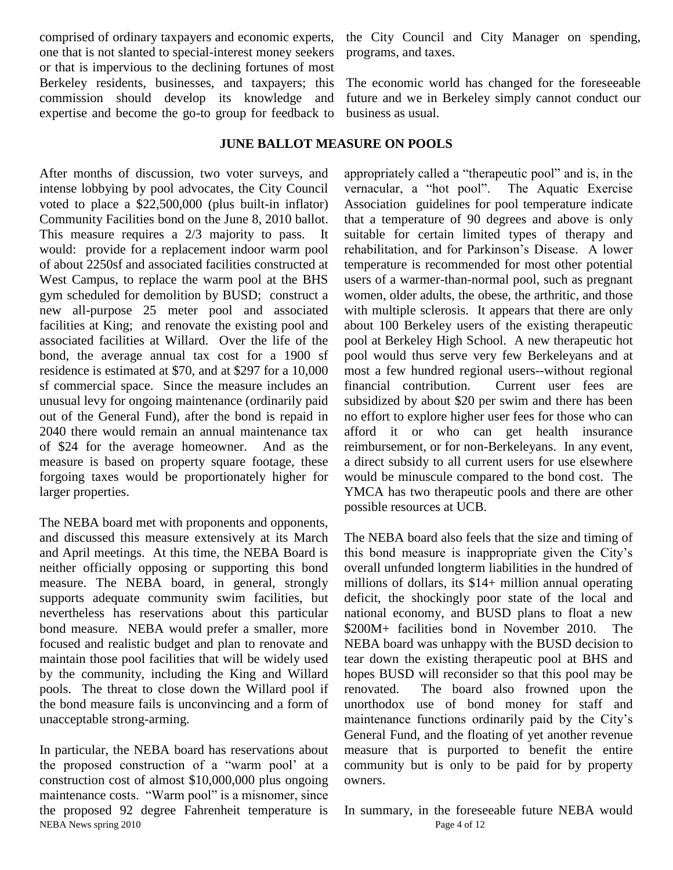comprised of ordinary taxpayers and economic experts, one that is not slanted to special-interest money seekers or that is impervious to the declining fortunes of most Berkeley residents, businesses, and taxpayers; this commission should develop its knowledge and expertise and become the go-to group for feedback to

After months of discussion, two voter surveys, and intense lobbying by pool advocates, the City Council voted to place a \$22,500,000 (plus built-in inflator) Community Facilities bond on the June 8, 2010 ballot. This measure requires a 2/3 majority to pass. It would: provide for a replacement indoor warm pool of about 2250sf and associated facilities constructed at West Campus, to replace the warm pool at the BHS gym scheduled for demolition by BUSD; construct a new all-purpose 25 meter pool and associated facilities at King; and renovate the existing pool and associated facilities at Willard. Over the life of the bond, the average annual tax cost for a 1900 sf residence is estimated at \$70, and at \$297 for a 10,000 sf commercial space. Since the measure includes an unusual levy for ongoing maintenance (ordinarily paid out of the General Fund), after the bond is repaid in 2040 there would remain an annual maintenance tax of \$24 for the average homeowner. And as the measure is based on property square footage, these forgoing taxes would be proportionately higher for larger properties.

The NEBA board met with proponents and opponents, and discussed this measure extensively at its March and April meetings. At this time, the NEBA Board is neither officially opposing or supporting this bond measure. The NEBA board, in general, strongly supports adequate community swim facilities, but nevertheless has reservations about this particular bond measure. NEBA would prefer a smaller, more focused and realistic budget and plan to renovate and maintain those pool facilities that will be widely used by the community, including the King and Willard pools. The threat to close down the Willard pool if the bond measure fails is unconvincing and a form of unacceptable strong-arming.

NEBA News spring 2010 Page 4 of 12 In particular, the NEBA board has reservations about the proposed construction of a "warm pool' at a construction cost of almost \$10,000,000 plus ongoing maintenance costs. "Warm pool" is a misnomer, since the proposed 92 degree Fahrenheit temperature is

the City Council and City Manager on spending, programs, and taxes.

The economic world has changed for the foreseeable future and we in Berkeley simply cannot conduct our business as usual.

### **JUNE BALLOT MEASURE ON POOLS**

appropriately called a "therapeutic pool" and is, in the vernacular, a "hot pool". The Aquatic Exercise Association guidelines for pool temperature indicate that a temperature of 90 degrees and above is only suitable for certain limited types of therapy and rehabilitation, and for Parkinson's Disease. A lower temperature is recommended for most other potential users of a warmer-than-normal pool, such as pregnant women, older adults, the obese, the arthritic, and those with multiple sclerosis. It appears that there are only about 100 Berkeley users of the existing therapeutic pool at Berkeley High School. A new therapeutic hot pool would thus serve very few Berkeleyans and at most a few hundred regional users--without regional financial contribution. Current user fees are subsidized by about \$20 per swim and there has been no effort to explore higher user fees for those who can afford it or who can get health insurance reimbursement, or for non-Berkeleyans. In any event, a direct subsidy to all current users for use elsewhere would be minuscule compared to the bond cost. The YMCA has two therapeutic pools and there are other possible resources at UCB.

The NEBA board also feels that the size and timing of this bond measure is inappropriate given the City's overall unfunded longterm liabilities in the hundred of millions of dollars, its \$14+ million annual operating deficit, the shockingly poor state of the local and national economy, and BUSD plans to float a new \$200M+ facilities bond in November 2010. The NEBA board was unhappy with the BUSD decision to tear down the existing therapeutic pool at BHS and hopes BUSD will reconsider so that this pool may be renovated. The board also frowned upon the unorthodox use of bond money for staff and maintenance functions ordinarily paid by the City's General Fund, and the floating of yet another revenue measure that is purported to benefit the entire community but is only to be paid for by property owners.

In summary, in the foreseeable future NEBA would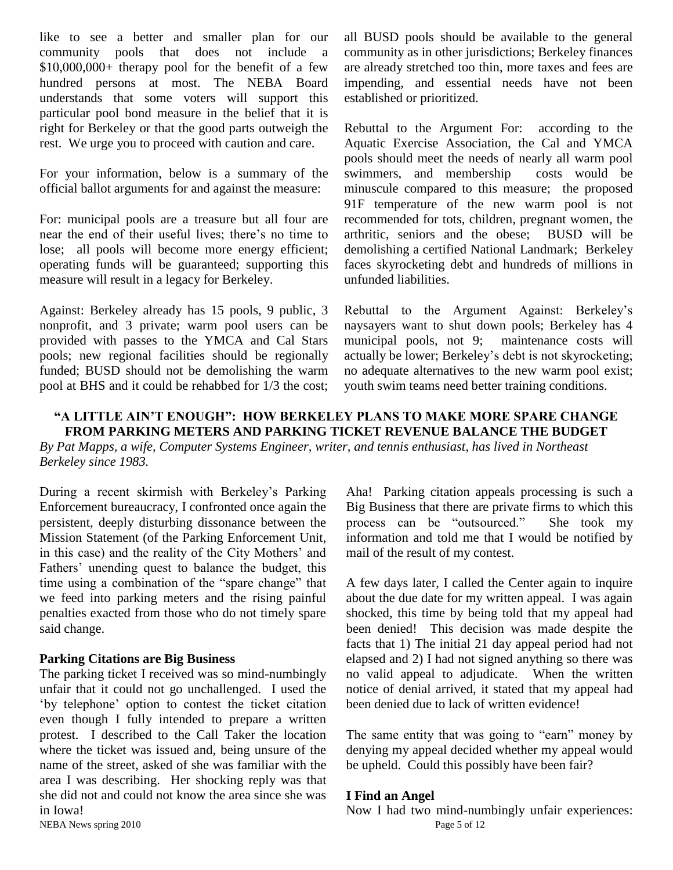like to see a better and smaller plan for our community pools that does not include a \$10,000,000+ therapy pool for the benefit of a few hundred persons at most. The NEBA Board understands that some voters will support this particular pool bond measure in the belief that it is right for Berkeley or that the good parts outweigh the rest. We urge you to proceed with caution and care.

For your information, below is a summary of the official ballot arguments for and against the measure:

For: municipal pools are a treasure but all four are near the end of their useful lives; there's no time to lose; all pools will become more energy efficient; operating funds will be guaranteed; supporting this measure will result in a legacy for Berkeley.

Against: Berkeley already has 15 pools, 9 public, 3 nonprofit, and 3 private; warm pool users can be provided with passes to the YMCA and Cal Stars pools; new regional facilities should be regionally funded; BUSD should not be demolishing the warm pool at BHS and it could be rehabbed for 1/3 the cost;

all BUSD pools should be available to the general community as in other jurisdictions; Berkeley finances are already stretched too thin, more taxes and fees are impending, and essential needs have not been established or prioritized.

Rebuttal to the Argument For: according to the Aquatic Exercise Association, the Cal and YMCA pools should meet the needs of nearly all warm pool swimmers, and membership costs would be minuscule compared to this measure; the proposed 91F temperature of the new warm pool is not recommended for tots, children, pregnant women, the arthritic, seniors and the obese; BUSD will be demolishing a certified National Landmark; Berkeley faces skyrocketing debt and hundreds of millions in unfunded liabilities.

Rebuttal to the Argument Against: Berkeley's naysayers want to shut down pools; Berkeley has 4 municipal pools, not 9; maintenance costs will actually be lower; Berkeley's debt is not skyrocketing; no adequate alternatives to the new warm pool exist; youth swim teams need better training conditions.

### **"A LITTLE AIN'T ENOUGH": HOW BERKELEY PLANS TO MAKE MORE SPARE CHANGE FROM PARKING METERS AND PARKING TICKET REVENUE BALANCE THE BUDGET**

*By Pat Mapps, a wife, Computer Systems Engineer, writer, and tennis enthusiast, has lived in Northeast Berkeley since 1983.*

During a recent skirmish with Berkeley's Parking Enforcement bureaucracy, I confronted once again the persistent, deeply disturbing dissonance between the Mission Statement (of the Parking Enforcement Unit, in this case) and the reality of the City Mothers' and Fathers' unending quest to balance the budget, this time using a combination of the "spare change" that we feed into parking meters and the rising painful penalties exacted from those who do not timely spare said change.

### **Parking Citations are Big Business**

The parking ticket I received was so mind-numbingly unfair that it could not go unchallenged. I used the ‗by telephone' option to contest the ticket citation even though I fully intended to prepare a written protest. I described to the Call Taker the location where the ticket was issued and, being unsure of the name of the street, asked of she was familiar with the area I was describing. Her shocking reply was that she did not and could not know the area since she was in Iowa!

Aha! Parking citation appeals processing is such a Big Business that there are private firms to which this process can be "outsourced." She took my information and told me that I would be notified by mail of the result of my contest.

A few days later, I called the Center again to inquire about the due date for my written appeal. I was again shocked, this time by being told that my appeal had been denied! This decision was made despite the facts that 1) The initial 21 day appeal period had not elapsed and 2) I had not signed anything so there was no valid appeal to adjudicate. When the written notice of denial arrived, it stated that my appeal had been denied due to lack of written evidence!

The same entity that was going to "earn" money by denying my appeal decided whether my appeal would be upheld. Could this possibly have been fair?

### **I Find an Angel**

NEBA News spring 2010 Page 5 of 12 Now I had two mind-numbingly unfair experiences: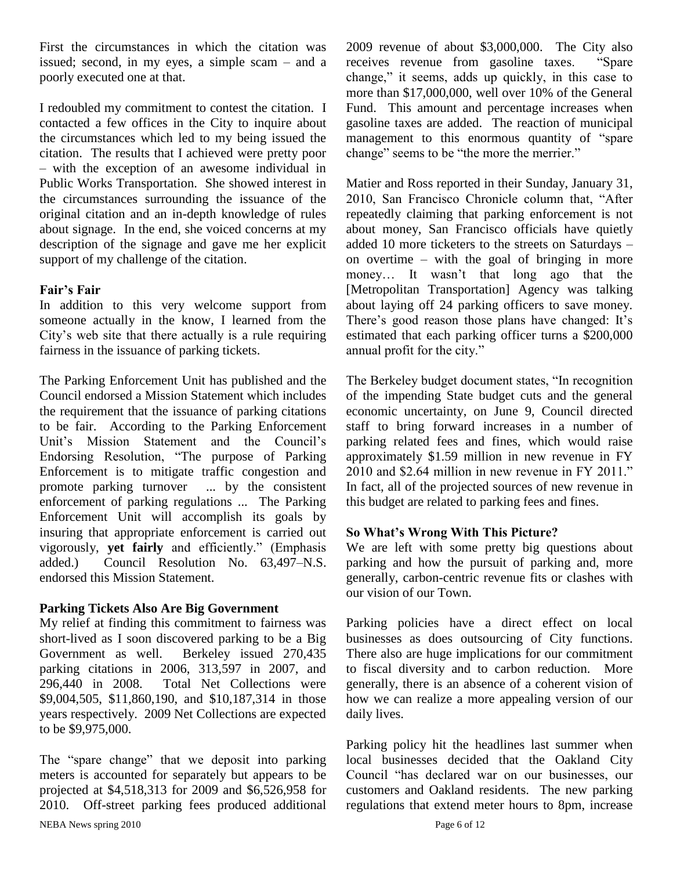First the circumstances in which the citation was issued; second, in my eyes, a simple scam – and a poorly executed one at that.

I redoubled my commitment to contest the citation. I contacted a few offices in the City to inquire about the circumstances which led to my being issued the citation. The results that I achieved were pretty poor – with the exception of an awesome individual in Public Works Transportation. She showed interest in the circumstances surrounding the issuance of the original citation and an in-depth knowledge of rules about signage. In the end, she voiced concerns at my description of the signage and gave me her explicit support of my challenge of the citation.

### **Fair's Fair**

In addition to this very welcome support from someone actually in the know, I learned from the City's web site that there actually is a rule requiring fairness in the issuance of parking tickets.

The Parking Enforcement Unit has published and the Council endorsed a Mission Statement which includes the requirement that the issuance of parking citations to be fair. According to the Parking Enforcement Unit's Mission Statement and the Council's Endorsing Resolution, "The purpose of Parking Enforcement is to mitigate traffic congestion and promote parking turnover ... by the consistent enforcement of parking regulations ... The Parking Enforcement Unit will accomplish its goals by insuring that appropriate enforcement is carried out vigorously, **yet fairly** and efficiently." (Emphasis added.) Council Resolution No. 63,497–N.S. endorsed this Mission Statement.

### **Parking Tickets Also Are Big Government**

My relief at finding this commitment to fairness was short-lived as I soon discovered parking to be a Big Government as well. Berkeley issued 270,435 parking citations in 2006, 313,597 in 2007, and 296,440 in 2008. Total Net Collections were \$9,004,505, \$11,860,190, and \$10,187,314 in those years respectively. 2009 Net Collections are expected to be \$9,975,000.

NEBA News spring 2010 Page 6 of 12 The "spare change" that we deposit into parking meters is accounted for separately but appears to be projected at \$4,518,313 for 2009 and \$6,526,958 for 2010. Off-street parking fees produced additional

2009 revenue of about \$3,000,000. The City also receives revenue from gasoline taxes. "Spare change," it seems, adds up quickly, in this case to more than \$17,000,000, well over 10% of the General Fund. This amount and percentage increases when gasoline taxes are added. The reaction of municipal management to this enormous quantity of "spare" change" seems to be "the more the merrier."

Matier and Ross reported in their Sunday, January 31, 2010, San Francisco Chronicle column that, "After repeatedly claiming that parking enforcement is not about money, San Francisco officials have quietly added 10 more ticketers to the streets on Saturdays – on overtime – with the goal of bringing in more money… It wasn't that long ago that the [Metropolitan Transportation] Agency was talking about laying off 24 parking officers to save money. There's good reason those plans have changed: It's estimated that each parking officer turns a \$200,000 annual profit for the city."

The Berkeley budget document states, "In recognition" of the impending State budget cuts and the general economic uncertainty, on June 9, Council directed staff to bring forward increases in a number of parking related fees and fines, which would raise approximately \$1.59 million in new revenue in FY  $2010$  and \$2.64 million in new revenue in FY 2011." In fact, all of the projected sources of new revenue in this budget are related to parking fees and fines.

### **So What's Wrong With This Picture?**

We are left with some pretty big questions about parking and how the pursuit of parking and, more generally, carbon-centric revenue fits or clashes with our vision of our Town.

Parking policies have a direct effect on local businesses as does outsourcing of City functions. There also are huge implications for our commitment to fiscal diversity and to carbon reduction. More generally, there is an absence of a coherent vision of how we can realize a more appealing version of our daily lives.

Parking policy hit the headlines last summer when local businesses decided that the Oakland City Council "has declared war on our businesses, our customers and Oakland residents. The new parking regulations that extend meter hours to 8pm, increase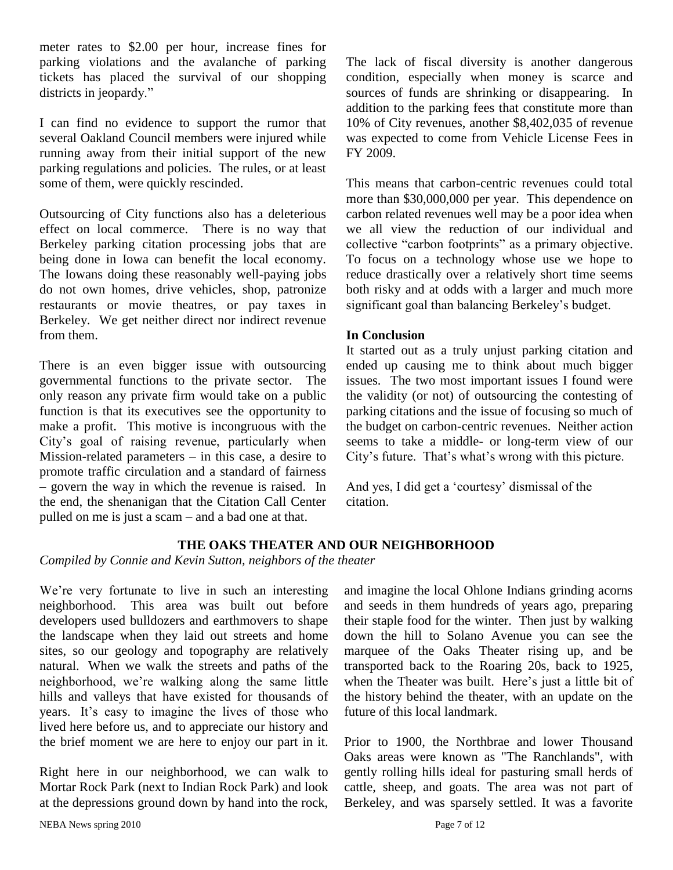meter rates to \$2.00 per hour, increase fines for parking violations and the avalanche of parking tickets has placed the survival of our shopping districts in jeopardy."

I can find no evidence to support the rumor that several Oakland Council members were injured while running away from their initial support of the new parking regulations and policies. The rules, or at least some of them, were quickly rescinded.

Outsourcing of City functions also has a deleterious effect on local commerce. There is no way that Berkeley parking citation processing jobs that are being done in Iowa can benefit the local economy. The Iowans doing these reasonably well-paying jobs do not own homes, drive vehicles, shop, patronize restaurants or movie theatres, or pay taxes in Berkeley. We get neither direct nor indirect revenue from them.

There is an even bigger issue with outsourcing governmental functions to the private sector. The only reason any private firm would take on a public function is that its executives see the opportunity to make a profit. This motive is incongruous with the City's goal of raising revenue, particularly when Mission-related parameters – in this case, a desire to promote traffic circulation and a standard of fairness – govern the way in which the revenue is raised. In the end, the shenanigan that the Citation Call Center pulled on me is just a scam – and a bad one at that.

The lack of fiscal diversity is another dangerous condition, especially when money is scarce and sources of funds are shrinking or disappearing. In addition to the parking fees that constitute more than 10% of City revenues, another \$8,402,035 of revenue was expected to come from Vehicle License Fees in FY 2009.

This means that carbon-centric revenues could total more than \$30,000,000 per year. This dependence on carbon related revenues well may be a poor idea when we all view the reduction of our individual and collective "carbon footprints" as a primary objective. To focus on a technology whose use we hope to reduce drastically over a relatively short time seems both risky and at odds with a larger and much more significant goal than balancing Berkeley's budget.

### **In Conclusion**

It started out as a truly unjust parking citation and ended up causing me to think about much bigger issues. The two most important issues I found were the validity (or not) of outsourcing the contesting of parking citations and the issue of focusing so much of the budget on carbon-centric revenues. Neither action seems to take a middle- or long-term view of our City's future. That's what's wrong with this picture.

And yes, I did get a 'courtesy' dismissal of the citation.

### **THE OAKS THEATER AND OUR NEIGHBORHOOD**

*Compiled by Connie and Kevin Sutton, neighbors of the theater*

We're very fortunate to live in such an interesting neighborhood. This area was built out before developers used bulldozers and earthmovers to shape the landscape when they laid out streets and home sites, so our geology and topography are relatively natural. When we walk the streets and paths of the neighborhood, we're walking along the same little hills and valleys that have existed for thousands of years. It's easy to imagine the lives of those who lived here before us, and to appreciate our history and the brief moment we are here to enjoy our part in it.

Right here in our neighborhood, we can walk to Mortar Rock Park (next to Indian Rock Park) and look at the depressions ground down by hand into the rock, and imagine the local Ohlone Indians grinding acorns and seeds in them hundreds of years ago, preparing their staple food for the winter. Then just by walking down the hill to Solano Avenue you can see the marquee of the Oaks Theater rising up, and be transported back to the Roaring 20s, back to 1925, when the Theater was built. Here's just a little bit of the history behind the theater, with an update on the future of this local landmark.

Prior to 1900, the Northbrae and lower Thousand Oaks areas were known as "The Ranchlands", with gently rolling hills ideal for pasturing small herds of cattle, sheep, and goats. The area was not part of Berkeley, and was sparsely settled. It was a favorite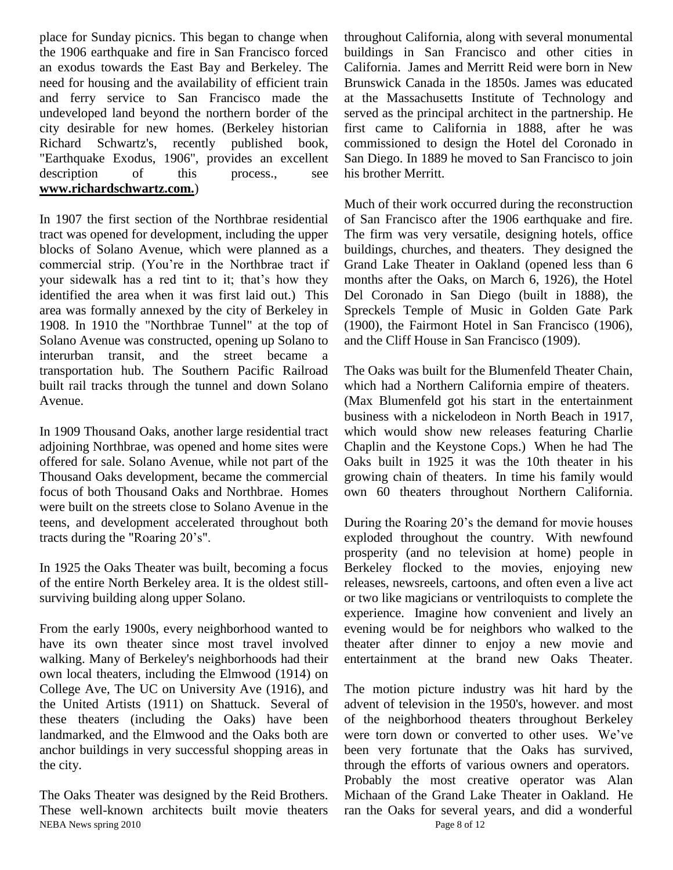place for Sunday picnics. This began to change when the 1906 earthquake and fire in San Francisco forced an exodus towards the East Bay and Berkeley. The need for housing and the availability of efficient train and ferry service to San Francisco made the undeveloped land beyond the northern border of the city desirable for new homes. (Berkeley historian Richard Schwartz's, recently published book, "Earthquake Exodus, 1906", provides an excellent description of this process., see **www[.richardschwartz.com.](http://www.richardschwartz.com/)**)

In 1907 the first section of the Northbrae residential tract was opened for development, including the upper blocks of Solano Avenue, which were planned as a commercial strip. (You're in the Northbrae tract if your sidewalk has a red tint to it; that's how they identified the area when it was first laid out.) This area was formally annexed by the city of Berkeley in 1908. In 1910 the "Northbrae Tunnel" at the top of Solano Avenue was constructed, opening up Solano to interurban transit, and the street became a transportation hub. The Southern Pacific Railroad built rail tracks through the tunnel and down Solano Avenue.

In 1909 Thousand Oaks, another large residential tract adjoining Northbrae, was opened and home sites were offered for sale. Solano Avenue, while not part of the Thousand Oaks development, became the commercial focus of both Thousand Oaks and Northbrae. Homes were built on the streets close to Solano Avenue in the teens, and development accelerated throughout both tracts during the "Roaring 20's".

In 1925 the Oaks Theater was built, becoming a focus of the entire North Berkeley area. It is the oldest stillsurviving building along upper Solano.

From the early 1900s, every neighborhood wanted to have its own theater since most travel involved walking. Many of Berkeley's neighborhoods had their own local theaters, including the Elmwood (1914) on College Ave, The UC on University Ave (1916), and the United Artists (1911) on Shattuck. Several of these theaters (including the Oaks) have been landmarked, and the Elmwood and the Oaks both are anchor buildings in very successful shopping areas in the city.

NEBA News spring 2010 Page 8 of 12 The Oaks Theater was designed by the Reid Brothers. These well-known architects built movie theaters

throughout California, along with several monumental buildings in San Francisco and other cities in California. James and Merritt Reid were born in New Brunswick Canada in the 1850s. James was educated at the Massachusetts Institute of Technology and served as the principal architect in the partnership. He first came to California in 1888, after he was commissioned to design the Hotel del Coronado in San Diego. In 1889 he moved to San Francisco to join his brother Merritt.

Much of their work occurred during the reconstruction of San Francisco after the 1906 earthquake and fire. The firm was very versatile, designing hotels, office buildings, churches, and theaters. They designed the Grand Lake Theater in Oakland (opened less than 6 months after the Oaks, on March 6, 1926), the Hotel Del Coronado in San Diego (built in 1888), the Spreckels Temple of Music in Golden Gate Park (1900), the Fairmont Hotel in San Francisco (1906), and the Cliff House in San Francisco (1909).

The Oaks was built for the Blumenfeld Theater Chain, which had a Northern California empire of theaters. (Max Blumenfeld got his start in the entertainment business with a nickelodeon in North Beach in 1917, which would show new releases featuring Charlie Chaplin and the Keystone Cops.) When he had The Oaks built in 1925 it was the 10th theater in his growing chain of theaters. In time his family would own 60 theaters throughout Northern California.

During the Roaring 20's the demand for movie houses exploded throughout the country. With newfound prosperity (and no television at home) people in Berkeley flocked to the movies, enjoying new releases, newsreels, cartoons, and often even a live act or two like magicians or ventriloquists to complete the experience. Imagine how convenient and lively an evening would be for neighbors who walked to the theater after dinner to enjoy a new movie and entertainment at the brand new Oaks Theater.

The motion picture industry was hit hard by the advent of television in the 1950's, however. and most of the neighborhood theaters throughout Berkeley were torn down or converted to other uses. We've been very fortunate that the Oaks has survived, through the efforts of various owners and operators. Probably the most creative operator was Alan Michaan of the Grand Lake Theater in Oakland. He ran the Oaks for several years, and did a wonderful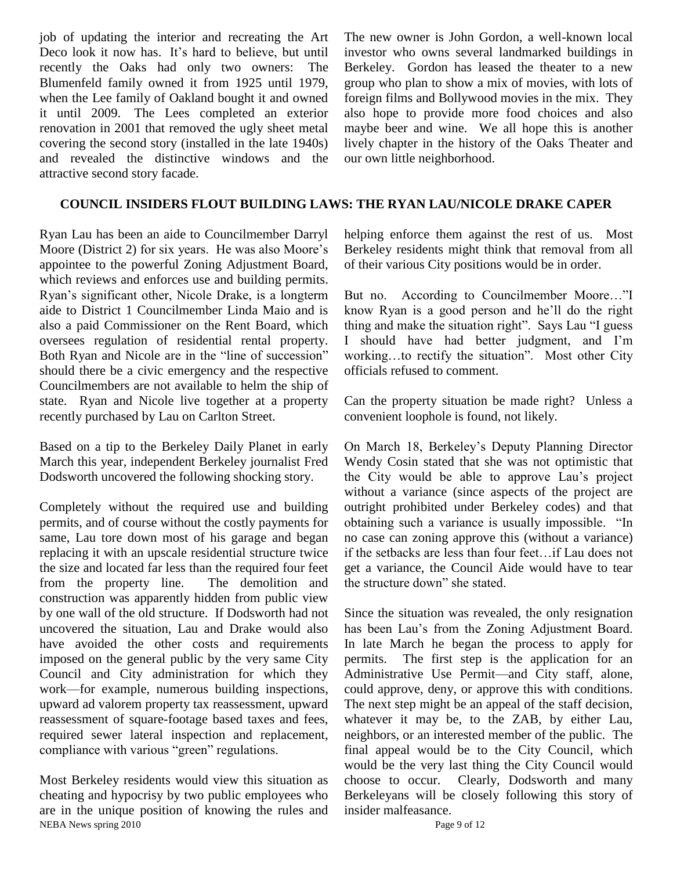job of updating the interior and recreating the Art Deco look it now has. It's hard to believe, but until recently the Oaks had only two owners: The Blumenfeld family owned it from 1925 until 1979, when the Lee family of Oakland bought it and owned it until 2009. The Lees completed an exterior renovation in 2001 that removed the ugly sheet metal covering the second story (installed in the late 1940s) and revealed the distinctive windows and the attractive second story facade.

The new owner is John Gordon, a well-known local investor who owns several landmarked buildings in Berkeley. Gordon has leased the theater to a new group who plan to show a mix of movies, with lots of foreign films and Bollywood movies in the mix. They also hope to provide more food choices and also maybe beer and wine. We all hope this is another lively chapter in the history of the Oaks Theater and our own little neighborhood.

### **COUNCIL INSIDERS FLOUT BUILDING LAWS: THE RYAN LAU/NICOLE DRAKE CAPER**

Ryan Lau has been an aide to Councilmember Darryl Moore (District 2) for six years. He was also Moore's appointee to the powerful Zoning Adjustment Board, which reviews and enforces use and building permits. Ryan's significant other, Nicole Drake, is a longterm aide to District 1 Councilmember Linda Maio and is also a paid Commissioner on the Rent Board, which oversees regulation of residential rental property. Both Ryan and Nicole are in the "line of succession" should there be a civic emergency and the respective Councilmembers are not available to helm the ship of state. Ryan and Nicole live together at a property recently purchased by Lau on Carlton Street.

Based on a tip to the Berkeley Daily Planet in early March this year, independent Berkeley journalist Fred Dodsworth uncovered the following shocking story.

Completely without the required use and building permits, and of course without the costly payments for same, Lau tore down most of his garage and began replacing it with an upscale residential structure twice the size and located far less than the required four feet from the property line. The demolition and construction was apparently hidden from public view by one wall of the old structure. If Dodsworth had not uncovered the situation, Lau and Drake would also have avoided the other costs and requirements imposed on the general public by the very same City Council and City administration for which they work—for example, numerous building inspections, upward ad valorem property tax reassessment, upward reassessment of square-footage based taxes and fees, required sewer lateral inspection and replacement, compliance with various "green" regulations.

NEBA News spring 2010 Page 9 of 12 Most Berkeley residents would view this situation as cheating and hypocrisy by two public employees who are in the unique position of knowing the rules and

helping enforce them against the rest of us. Most Berkeley residents might think that removal from all of their various City positions would be in order.

But no. According to Councilmember Moore..."I know Ryan is a good person and he'll do the right thing and make the situation right". Says Lau "I guess I should have had better judgment, and I'm working...to rectify the situation". Most other City officials refused to comment.

Can the property situation be made right? Unless a convenient loophole is found, not likely.

On March 18, Berkeley's Deputy Planning Director Wendy Cosin stated that she was not optimistic that the City would be able to approve Lau's project without a variance (since aspects of the project are outright prohibited under Berkeley codes) and that obtaining such a variance is usually impossible. "In no case can zoning approve this (without a variance) if the setbacks are less than four feet…if Lau does not get a variance, the Council Aide would have to tear the structure down" she stated.

Since the situation was revealed, the only resignation has been Lau's from the Zoning Adjustment Board. In late March he began the process to apply for permits. The first step is the application for an Administrative Use Permit—and City staff, alone, could approve, deny, or approve this with conditions. The next step might be an appeal of the staff decision, whatever it may be, to the ZAB, by either Lau, neighbors, or an interested member of the public. The final appeal would be to the City Council, which would be the very last thing the City Council would choose to occur. Clearly, Dodsworth and many Berkeleyans will be closely following this story of insider malfeasance.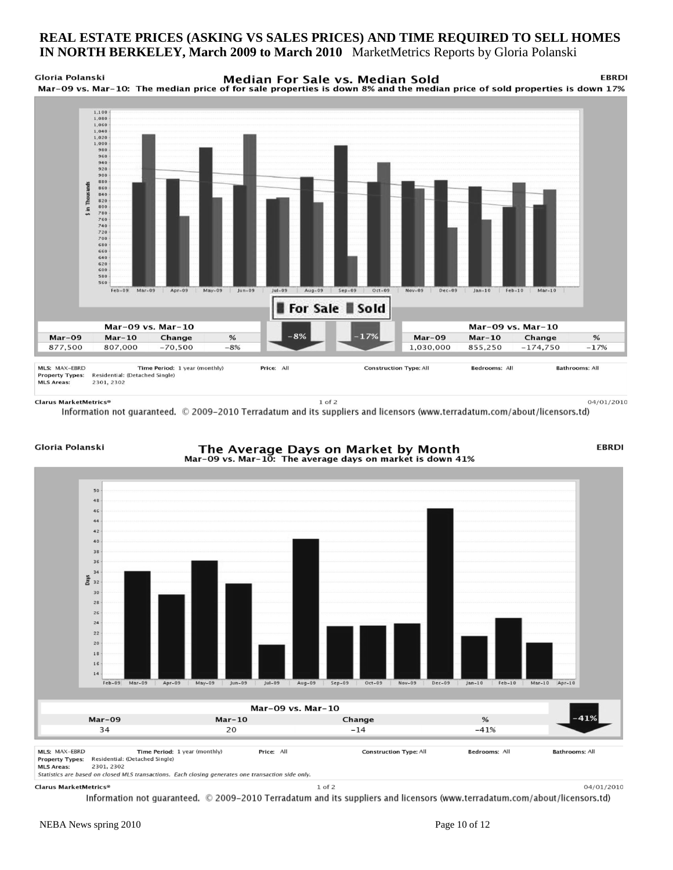### **REAL ESTATE PRICES (ASKING VS SALES PRICES) AND TIME REQUIRED TO SELL HOMES IN NORTH BERKELEY, March 2009 to March 2010** MarketMetrics Reports by Gloria Polanski

**Gloria Polanski FRRDI** Median For Sale vs. Median Sold Mar-09 vs. Mar-10: The median price of for sale properties is down 8% and the median price of sold properties is down 17%



Clarus MarketMetrics®

 $1$  of  $2$ 

04/01/2010

Information not guaranteed. © 2009-2010 Terradatum and its suppliers and licensors (www.terradatum.com/about/licensors.td)

### Gloria Polanski

### The Average Days on Market by Month Mar-09 vs. Mar-10: The average days on market is down 41%

**EBRDI** 

04/01/2010



Statistics are based on closed MLS transactions. Each closing generates one transaction side only.

### Clarus MarketMetrics®

Information not guaranteed. © 2009-2010 Terradatum and its suppliers and licensors (www.terradatum.com/about/licensors.td)

 $1$  of  $2$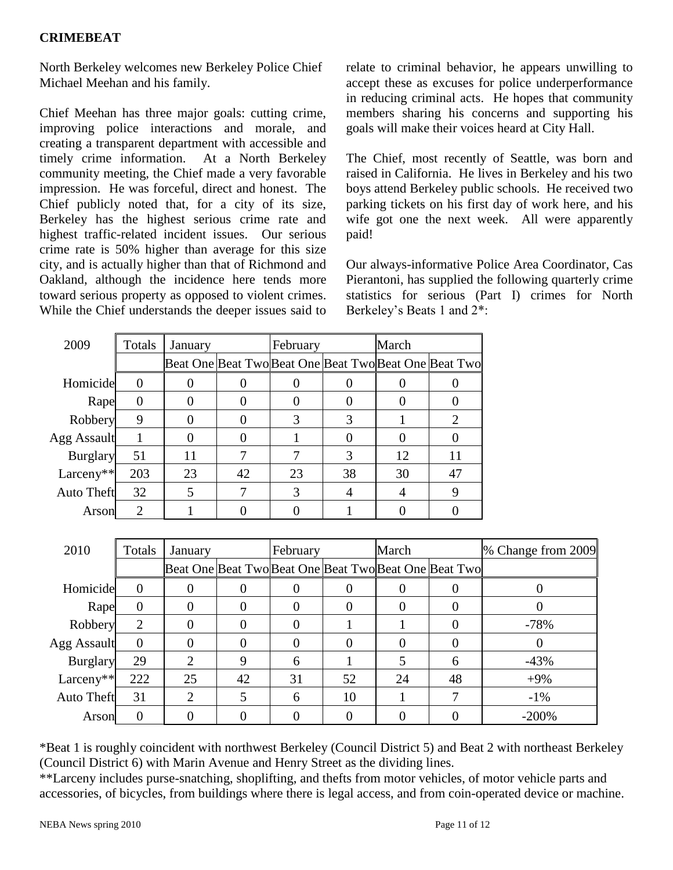North Berkeley welcomes new Berkeley Police Chief Michael Meehan and his family.

Chief Meehan has three major goals: cutting crime, improving police interactions and morale, and creating a transparent department with accessible and timely crime information. At a North Berkeley community meeting, the Chief made a very favorable impression. He was forceful, direct and honest. The Chief publicly noted that, for a city of its size, Berkeley has the highest serious crime rate and highest traffic-related incident issues. Our serious crime rate is 50% higher than average for this size city, and is actually higher than that of Richmond and Oakland, although the incidence here tends more toward serious property as opposed to violent crimes. While the Chief understands the deeper issues said to

relate to criminal behavior, he appears unwilling to accept these as excuses for police underperformance in reducing criminal acts. He hopes that community members sharing his concerns and supporting his goals will make their voices heard at City Hall.

The Chief, most recently of Seattle, was born and raised in California. He lives in Berkeley and his two boys attend Berkeley public schools. He received two parking tickets on his first day of work here, and his wife got one the next week. All were apparently paid!

Our always-informative Police Area Coordinator, Cas Pierantoni, has supplied the following quarterly crime statistics for serious (Part I) crimes for North Berkeley's Beats 1 and 2\*:

| 2009              | Totals           | January |    | February |    | March |                                                       |
|-------------------|------------------|---------|----|----------|----|-------|-------------------------------------------------------|
|                   |                  |         |    |          |    |       | Beat One Beat Two Beat One Beat Two Beat One Beat Two |
| Homicide          | $\left( \right)$ |         |    |          |    |       |                                                       |
| Rape              |                  |         |    | O        |    |       |                                                       |
| Robbery           | 9                |         |    | 3        |    |       | 2                                                     |
| Agg Assault       |                  |         |    |          |    |       |                                                       |
| <b>Burglary</b>   | 51               | 11      |    |          | 3  | 12    | 11                                                    |
| Larceny**         | 203              | 23      | 42 | 23       | 38 | 30    | 47                                                    |
| <b>Auto Theft</b> | 32               | 5       |    | 3        |    | 4     | 9                                                     |
| Arson             | 2                |         |    |          |    |       |                                                       |

| 2010              | Totals         | January        |                                                       | February |          | March |     | % Change from 2009 |
|-------------------|----------------|----------------|-------------------------------------------------------|----------|----------|-------|-----|--------------------|
|                   |                |                | Beat One Beat Two Beat One Beat Two Beat One Beat Two |          |          |       |     |                    |
| Homicide          | $\Omega$       |                |                                                       |          |          |       |     |                    |
| Rape              | $\overline{0}$ |                |                                                       | 0        | $\Omega$ | 0     | ( ) |                    |
| Robbery           | $\overline{2}$ |                |                                                       |          |          |       |     | $-78%$             |
| Agg Assault       | $\Omega$       |                |                                                       |          | $\Omega$ | 0     |     |                    |
| <b>Burglary</b>   | 29             | $\overline{2}$ | 9                                                     | 6        |          |       | 6   | $-43%$             |
| Larceny**         | 222            | 25             | 42                                                    | 31       | 52       | 24    | 48  | $+9%$              |
| <b>Auto Theft</b> | 31             | 2              |                                                       | 6        | 10       |       |     | $-1\%$             |
| Arson             | 0              |                |                                                       |          |          |       |     | $-200%$            |

\*Beat 1 is roughly coincident with northwest Berkeley (Council District 5) and Beat 2 with northeast Berkeley (Council District 6) with Marin Avenue and Henry Street as the dividing lines.

\*\*Larceny includes purse-snatching, shoplifting, and thefts from motor vehicles, of motor vehicle parts and accessories, of bicycles, from buildings where there is legal access, and from coin-operated device or machine.